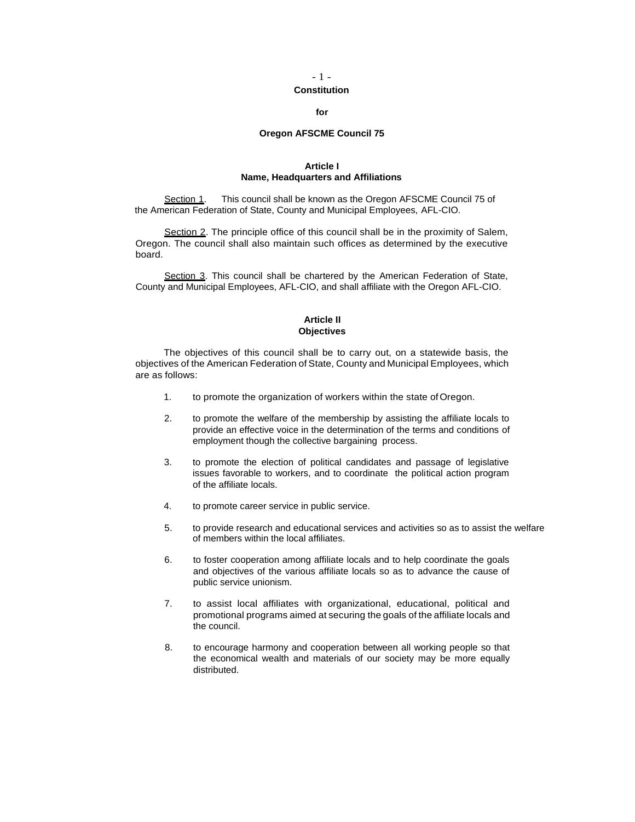## - 1 -

## **Constitution**

#### **for**

## **Oregon AFSCME Council 75**

## **Article I Name, Headquarters and Affiliations**

Section 1. This council shall be known as the Oregon AFSCME Council 75 of the American Federation of State, County and Municipal Employees, AFL-CIO.

Section 2. The principle office of this council shall be in the proximity of Salem, Oregon. The council shall also maintain such offices as determined by the executive board.

Section 3. This council shall be chartered by the American Federation of State, County and Municipal Employees, AFL-CIO, and shall affiliate with the Oregon AFL-CIO.

# **Article II Objectives**

The objectives of this council shall be to carry out, on a statewide basis, the objectives of the American Federation of State, County and Municipal Employees, which are as follows:

- 1. to promote the organization of workers within the state of Oregon.
- 2. to promote the welfare of the membership by assisting the affiliate locals to provide an effective voice in the determination of the terms and conditions of employment though the collective bargaining process.
- 3. to promote the election of political candidates and passage of legislative issues favorable to workers, and to coordinate the political action program of the affiliate locals.
- 4. to promote career service in public service.
- 5. to provide research and educational services and activities so as to assist the welfare of members within the local affiliates.
- 6. to foster cooperation among affiliate locals and to help coordinate the goals and objectives of the various affiliate locals so as to advance the cause of public service unionism.
- 7. to assist local affiliates with organizational, educational, political and promotional programs aimed at securing the goals of the affiliate locals and the council.
- 8. to encourage harmony and cooperation between all working people so that the economical wealth and materials of our society may be more equally distributed.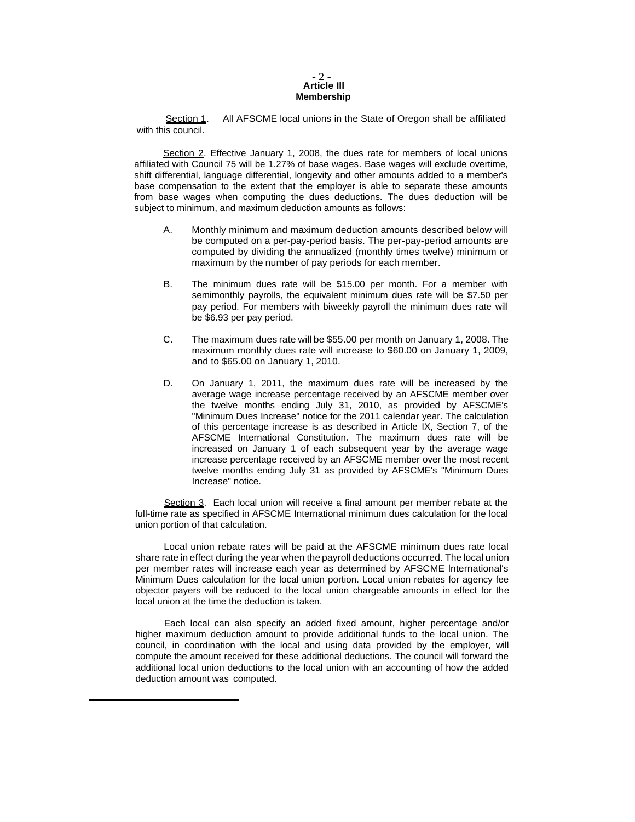## - 2 - **Article Ill Membership**

Section 1. All AFSCME local unions in the State of Oregon shall be affiliated with this council.

Section 2. Effective January 1, 2008, the dues rate for members of local unions affiliated with Council 75 will be 1.27% of base wages. Base wages will exclude overtime, shift differential, language differential, longevity and other amounts added to a member's base compensation to the extent that the employer is able to separate these amounts from base wages when computing the dues deductions. The dues deduction will be subject to minimum, and maximum deduction amounts as follows:

- A. Monthly minimum and maximum deduction amounts described below will be computed on a per-pay-period basis. The per-pay-period amounts are computed by dividing the annualized (monthly times twelve) minimum or maximum by the number of pay periods for each member.
- B. The minimum dues rate will be \$15.00 per month. For a member with semimonthly payrolls, the equivalent minimum dues rate will be \$7.50 per pay period. For members with biweekly payroll the minimum dues rate will be \$6.93 per pay period.
- C. The maximum dues rate will be \$55.00 per month on January 1, 2008. The maximum monthly dues rate will increase to \$60.00 on January 1, 2009, and to \$65.00 on January 1, 2010.
- D. On January 1, 2011, the maximum dues rate will be increased by the average wage increase percentage received by an AFSCME member over the twelve months ending July 31, 2010, as provided by AFSCME's "Minimum Dues Increase" notice for the 2011 calendar year. The calculation of this percentage increase is as described in Article IX, Section 7, of the AFSCME International Constitution. The maximum dues rate will be increased on January 1 of each subsequent year by the average wage increase percentage received by an AFSCME member over the most recent twelve months ending July 31 as provided by AFSCME's "Minimum Dues Increase" notice.

Section 3. Each local union will receive a final amount per member rebate at the full-time rate as specified in AFSCME International minimum dues calculation for the local union portion of that calculation.

Local union rebate rates will be paid at the AFSCME minimum dues rate local share rate in effect during the year when the payroll deductions occurred. The local union per member rates will increase each year as determined by AFSCME lnternational's Minimum Dues calculation for the local union portion. Local union rebates for agency fee objector payers will be reduced to the local union chargeable amounts in effect for the local union at the time the deduction is taken.

Each local can also specify an added fixed amount, higher percentage and/or higher maximum deduction amount to provide additional funds to the local union. The council, in coordination with the local and using data provided by the employer, will compute the amount received for these additional deductions. The council will forward the additional local union deductions to the local union with an accounting of how the added deduction amount was computed.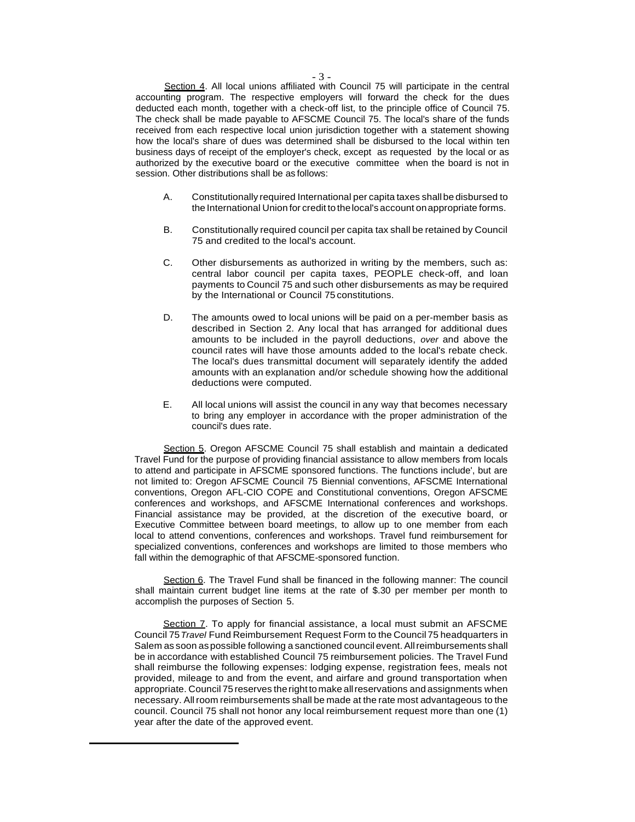Section 4. All local unions affiliated with Council 75 will participate in the central accounting program. The respective employers will forward the check for the dues deducted each month, together with a check-off list, to the principle office of Council 75. The check shall be made payable to AFSCME Council 75. The local's share of the funds received from each respective local union jurisdiction together with a statement showing how the local's share of dues was determined shall be disbursed to the local within ten business days of receipt of the employer's check, except as requested by the local or as authorized by the executive board or the executive committee when the board is not in session. Other distributions shall be as follows:

- A. Constitutionally required International per capita taxes shallbe disbursed to the International Union for credit tothelocal's account onappropriate forms.
- B. Constitutionally required council per capita tax shall be retained by Council 75 and credited to the local's account.
- C. Other disbursements as authorized in writing by the members, such as: central labor council per capita taxes, PEOPLE check-off, and loan payments to Council 75 and such other disbursements as may be required by the International or Council 75 constitutions.
- D. The amounts owed to local unions will be paid on a per-member basis as described in Section 2. Any local that has arranged for additional dues amounts to be included in the payroll deductions, *over* and above the council rates will have those amounts added to the local's rebate check. The local's dues transmittal document will separately identify the added amounts with an explanation and/or schedule showing how the additional deductions were computed.
- E. All local unions will assist the council in any way that becomes necessary to bring any employer in accordance with the proper administration of the council's dues rate.

Section 5. Oregon AFSCME Council 75 shall establish and maintain a dedicated Travel Fund for the purpose of providing financial assistance to allow members from locals to attend and participate in AFSCME sponsored functions. The functions include', but are not limited to: Oregon AFSCME Council 75 Biennial conventions, AFSCME International conventions, Oregon AFL-CIO COPE and Constitutional conventions, Oregon AFSCME conferences and workshops, and AFSCME International conferences and workshops. Financial assistance may be provided, at the discretion of the executive board, or Executive Committee between board meetings, to allow up to one member from each local to attend conventions, conferences and workshops. Travel fund reimbursement for specialized conventions, conferences and workshops are limited to those members who fall within the demographic of that AFSCME-sponsored function.

Section 6. The Travel Fund shall be financed in the following manner: The council shall maintain current budget line items at the rate of \$.30 per member per month to accomplish the purposes of Section 5.

Section 7. To apply for financial assistance, a local must submit an AFSCME Council 75*Travel* Fund Reimbursement Request Form to the Council 75 headquarters in Salem as soon as possible following a sanctioned council event. All reimbursements shall be in accordance with established Council 75 reimbursement policies. The Travel Fund shall reimburse the following expenses: lodging expense, registration fees, meals not provided, mileage to and from the event, and airfare and ground transportation when appropriate. Council 75 reserves the right to make all reservations and assignments when necessary. Allroom reimbursements shall be made at the rate most advantageous to the council. Council 75 shall not honor any local reimbursement request more than one (1) year after the date of the approved event.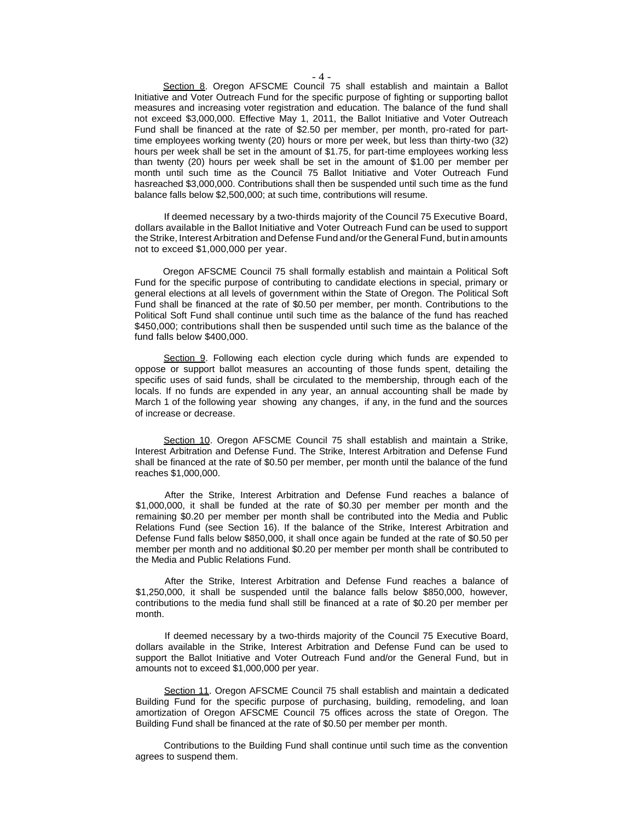Section 8. Oregon AFSCME Council 75 shall establish and maintain a Ballot Initiative and Voter Outreach Fund for the specific purpose of fighting or supporting ballot measures and increasing voter registration and education. The balance of the fund shall not exceed \$3,000,000. Effective May 1, 2011, the Ballot Initiative and Voter Outreach Fund shall be financed at the rate of \$2.50 per member, per month, pro-rated for parttime employees working twenty (20) hours or more per week, but less than thirty-two (32) hours per week shall be set in the amount of \$1.75, for part-time employees working less than twenty (20) hours per week shall be set in the amount of \$1.00 per member per month until such time as the Council 75 Ballot Initiative and Voter Outreach Fund hasreached \$3,000,000. Contributions shall then be suspended until such time as the fund balance falls below \$2,500,000; at such time, contributions will resume.

If deemed necessary by a two-thirds majority of the Council 75 Executive Board, dollars available in the Ballot Initiative and Voter Outreach Fund can be used to support theStrike, Interest Arbitration and Defense Fund and/or the General Fund, butinamounts not to exceed \$1,000,000 per year.

Oregon AFSCME Council 75 shall formally establish and maintain a Political Soft Fund for the specific purpose of contributing to candidate elections in special, primary or general elections at all levels of government within the State of Oregon. The Political Soft Fund shall be financed at the rate of \$0.50 per member, per month. Contributions to the Political Soft Fund shall continue until such time as the balance of the fund has reached \$450,000; contributions shall then be suspended until such time as the balance of the fund falls below \$400,000.

Section 9. Following each election cycle during which funds are expended to oppose or support ballot measures an accounting of those funds spent, detailing the specific uses of said funds, shall be circulated to the membership, through each of the locals. If no funds are expended in any year, an annual accounting shall be made by March 1 of the following year showing any changes, if any, in the fund and the sources of increase or decrease.

Section 10. Oregon AFSCME Council 75 shall establish and maintain a Strike, Interest Arbitration and Defense Fund. The Strike, Interest Arbitration and Defense Fund shall be financed at the rate of \$0.50 per member, per month until the balance of the fund reaches \$1,000,000.

After the Strike, Interest Arbitration and Defense Fund reaches a balance of \$1,000,000, it shall be funded at the rate of \$0.30 per member per month and the remaining \$0.20 per member per month shall be contributed into the Media and Public Relations Fund (see Section 16). If the balance of the Strike, Interest Arbitration and Defense Fund falls below \$850,000, it shall once again be funded at the rate of \$0.50 per member per month and no additional \$0.20 per member per month shall be contributed to the Media and Public Relations Fund.

After the Strike, Interest Arbitration and Defense Fund reaches a balance of \$1,250,000, it shall be suspended until the balance falls below \$850,000, however, contributions to the media fund shall still be financed at a rate of \$0.20 per member per month.

If deemed necessary by a two-thirds majority of the Council 75 Executive Board, dollars available in the Strike, Interest Arbitration and Defense Fund can be used to support the Ballot Initiative and Voter Outreach Fund and/or the General Fund, but in amounts not to exceed \$1,000,000 per year.

Section 11. Oregon AFSCME Council 75 shall establish and maintain a dedicated Building Fund for the specific purpose of purchasing, building, remodeling, and loan amortization of Oregon AFSCME Council 75 offices across the state of Oregon. The Building Fund shall be financed at the rate of \$0.50 per member per month.

Contributions to the Building Fund shall continue until such time as the convention agrees to suspend them.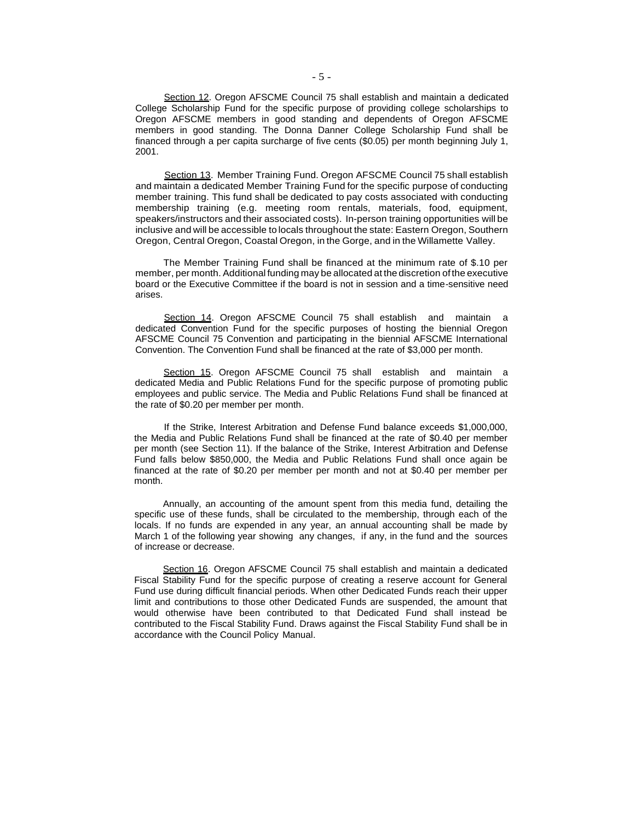Section 12. Oregon AFSCME Council 75 shall establish and maintain a dedicated College Scholarship Fund for the specific purpose of providing college scholarships to Oregon AFSCME members in good standing and dependents of Oregon AFSCME members in good standing. The Donna Danner College Scholarship Fund shall be financed through a per capita surcharge of five cents (\$0.05) per month beginning July 1, 2001.

Section 13. Member Training Fund. Oregon AFSCME Council 75 shall establish and maintain a dedicated Member Training Fund for the specific purpose of conducting member training. This fund shall be dedicated to pay costs associated with conducting membership training (e.g. meeting room rentals, materials, food, equipment, speakers/instructors and their associated costs). In-person training opportunities will be inclusive and will be accessible to locals throughout the state: Eastern Oregon, Southern Oregon, Central Oregon, Coastal Oregon, in the Gorge, and in the Willamette Valley.

The Member Training Fund shall be financed at the minimum rate of \$.10 per member, per month. Additional funding may be allocated at the discretion ofthe executive board or the Executive Committee if the board is not in session and a time-sensitive need arises.

Section 14. Oregon AFSCME Council 75 shall establish and maintain a dedicated Convention Fund for the specific purposes of hosting the biennial Oregon AFSCME Council 75 Convention and participating in the biennial AFSCME International Convention. The Convention Fund shall be financed at the rate of \$3,000 per month.

Section 15. Oregon AFSCME Council 75 shall establish and maintain a dedicated Media and Public Relations Fund for the specific purpose of promoting public employees and public service. The Media and Public Relations Fund shall be financed at the rate of \$0.20 per member per month.

If the Strike, Interest Arbitration and Defense Fund balance exceeds \$1,000,000, the Media and Public Relations Fund shall be financed at the rate of \$0.40 per member per month (see Section 11). If the balance of the Strike, Interest Arbitration and Defense Fund falls below \$850,000, the Media and Public Relations Fund shall once again be financed at the rate of \$0.20 per member per month and not at \$0.40 per member per month.

Annually, an accounting of the amount spent from this media fund, detailing the specific use of these funds, shall be circulated to the membership, through each of the locals. If no funds are expended in any year, an annual accounting shall be made by March 1 of the following year showing any changes, if any, in the fund and the sources of increase or decrease.

Section 16. Oregon AFSCME Council 75 shall establish and maintain a dedicated Fiscal Stability Fund for the specific purpose of creating a reserve account for General Fund use during difficult financial periods. When other Dedicated Funds reach their upper limit and contributions to those other Dedicated Funds are suspended, the amount that would otherwise have been contributed to that Dedicated Fund shall instead be contributed to the Fiscal Stability Fund. Draws against the Fiscal Stability Fund shall be in accordance with the Council Policy Manual.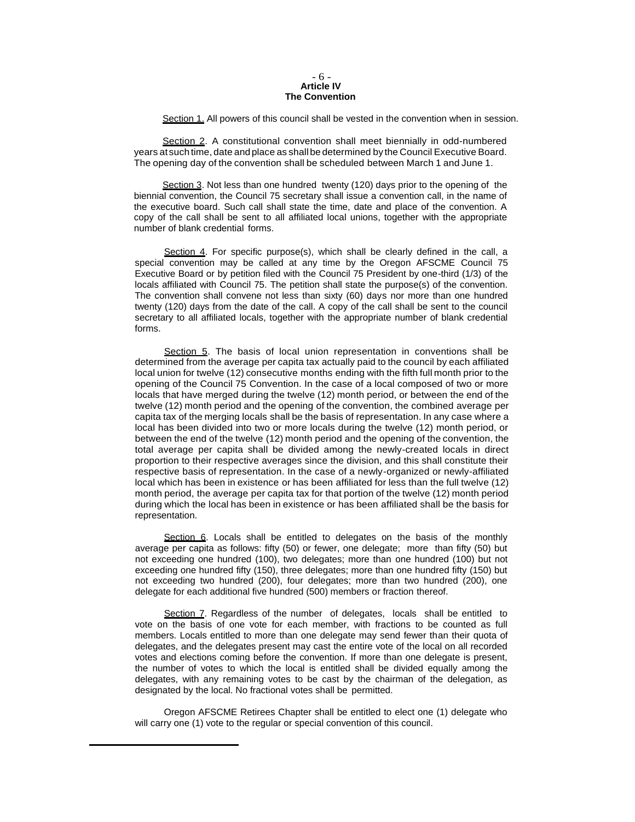#### - 6 - **Article IV The Convention**

Section 1. All powers of this council shall be vested in the convention when in session.

Section 2. A constitutional convention shall meet biennially in odd-numbered years atsuch time, date and place as shall be determined by the Council Executive Board. The opening day of the convention shall be scheduled between March 1 and June 1.

Section 3. Not less than one hundred twenty (120) days prior to the opening of the biennial convention, the Council 75 secretary shall issue a convention call, in the name of the executive board. Such call shall state the time, date and place of the convention. A copy of the call shall be sent to all affiliated local unions, together with the appropriate number of blank credential forms.

Section 4. For specific purpose(s), which shall be clearly defined in the call, a special convention may be called at any time by the Oregon AFSCME Council 75 Executive Board or by petition filed with the Council 75 President by one-third (1/3) of the locals affiliated with Council 75. The petition shall state the purpose(s) of the convention. The convention shall convene not less than sixty (60) days nor more than one hundred twenty (120) days from the date of the call. A copy of the call shall be sent to the council secretary to all affiliated locals, together with the appropriate number of blank credential forms.

Section 5. The basis of local union representation in conventions shall be determined from the average per capita tax actually paid to the council by each affiliated local union for twelve (12) consecutive months ending with the fifth full month prior to the opening of the Council 75 Convention. In the case of a local composed of two or more locals that have merged during the twelve (12) month period, or between the end of the twelve (12) month period and the opening of the convention, the combined average per capita tax of the merging locals shall be the basis of representation. In any case where a local has been divided into two or more locals during the twelve (12) month period, or between the end of the twelve (12) month period and the opening of the convention, the total average per capita shall be divided among the newly-created locals in direct proportion to their respective averages since the division, and this shall constitute their respective basis of representation. In the case of a newly-organized or newly-affiliated local which has been in existence or has been affiliated for less than the full twelve (12) month period, the average per capita tax for that portion of the twelve (12) month period during which the local has been in existence or has been affiliated shall be the basis for representation.

Section 6. Locals shall be entitled to delegates on the basis of the monthly average per capita as follows: fifty (50) or fewer, one delegate; more than fifty (50) but not exceeding one hundred (100), two delegates; more than one hundred (100) but not exceeding one hundred fifty (150), three delegates; more than one hundred fifty (150) but not exceeding two hundred (200), four delegates; more than two hundred (200), one delegate for each additional five hundred (500) members or fraction thereof.

Section 7. Regardless of the number of delegates, locals shall be entitled to vote on the basis of one vote for each member, with fractions to be counted as full members. Locals entitled to more than one delegate may send fewer than their quota of delegates, and the delegates present may cast the entire vote of the local on all recorded votes and elections coming before the convention. If more than one delegate is present, the number of votes to which the local is entitled shall be divided equally among the delegates, with any remaining votes to be cast by the chairman of the delegation, as designated by the local. No fractional votes shall be permitted.

Oregon AFSCME Retirees Chapter shall be entitled to elect one (1) delegate who will carry one (1) vote to the regular or special convention of this council.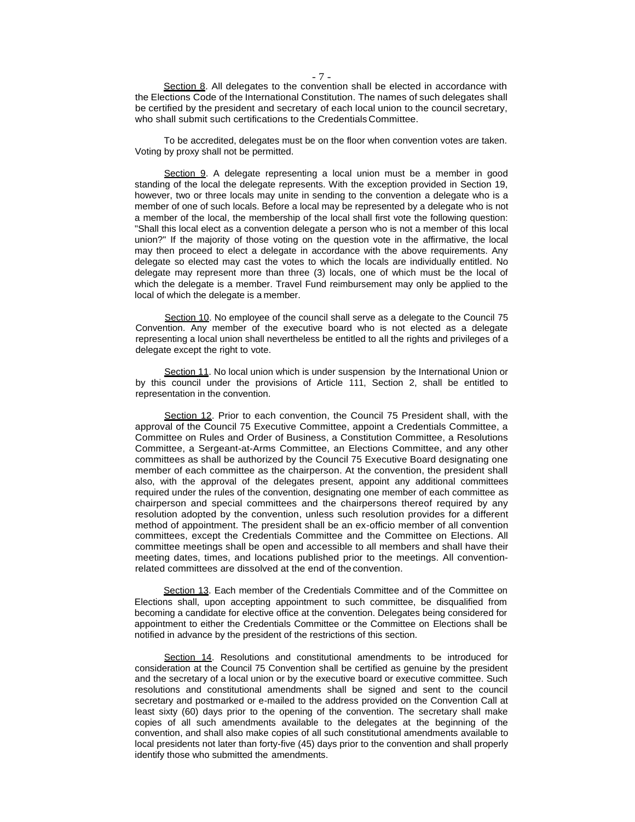Section 8. All delegates to the convention shall be elected in accordance with the Elections Code of the International Constitution. The names of such delegates shall be certified by the president and secretary of each local union to the council secretary, who shall submit such certifications to the Credentials Committee.

To be accredited, delegates must be on the floor when convention votes are taken. Voting by proxy shall not be permitted.

Section 9. A delegate representing a local union must be a member in good standing of the local the delegate represents. With the exception provided in Section 19, however, two or three locals may unite in sending to the convention a delegate who is a member of one of such locals. Before a local may be represented by a delegate who is not a member of the local, the membership of the local shall first vote the following question: "Shall this local elect as a convention delegate a person who is not a member of this local union?" If the majority of those voting on the question vote in the affirmative, the local may then proceed to elect a delegate in accordance with the above requirements. Any delegate so elected may cast the votes to which the locals are individually entitled. No delegate may represent more than three (3) locals, one of which must be the local of which the delegate is a member. Travel Fund reimbursement may only be applied to the local of which the delegate is a member.

Section 10. No employee of the council shall serve as a delegate to the Council 75 Convention. Any member of the executive board who is not elected as a delegate representing a local union shall nevertheless be entitled to all the rights and privileges of a delegate except the right to vote.

Section 11. No local union which is under suspension by the International Union or by this council under the provisions of Article 111, Section 2, shall be entitled to representation in the convention.

Section 12. Prior to each convention, the Council 75 President shall, with the approval of the Council 75 Executive Committee, appoint a Credentials Committee, a Committee on Rules and Order of Business, a Constitution Committee, a Resolutions Committee, a Sergeant-at-Arms Committee, an Elections Committee, and any other committees as shall be authorized by the Council 75 Executive Board designating one member of each committee as the chairperson. At the convention, the president shall also, with the approval of the delegates present, appoint any additional committees required under the rules of the convention, designating one member of each committee as chairperson and special committees and the chairpersons thereof required by any resolution adopted by the convention, unless such resolution provides for a different method of appointment. The president shall be an ex-officio member of all convention committees, except the Credentials Committee and the Committee on Elections. All committee meetings shall be open and accessible to all members and shall have their meeting dates, times, and locations published prior to the meetings. All conventionrelated committees are dissolved at the end of the convention.

Section 13. Each member of the Credentials Committee and of the Committee on Elections shall, upon accepting appointment to such committee, be disqualified from becoming a candidate for elective office at the convention. Delegates being considered for appointment to either the Credentials Committee or the Committee on Elections shall be notified in advance by the president of the restrictions of this section.

Section 14. Resolutions and constitutional amendments to be introduced for consideration at the Council 75 Convention shall be certified as genuine by the president and the secretary of a local union or by the executive board or executive committee. Such resolutions and constitutional amendments shall be signed and sent to the council secretary and postmarked or e-mailed to the address provided on the Convention Call at least sixty (60) days prior to the opening of the convention. The secretary shall make copies of all such amendments available to the delegates at the beginning of the convention, and shall also make copies of all such constitutional amendments available to local presidents not later than forty-five (45) days prior to the convention and shall properly identify those who submitted the amendments.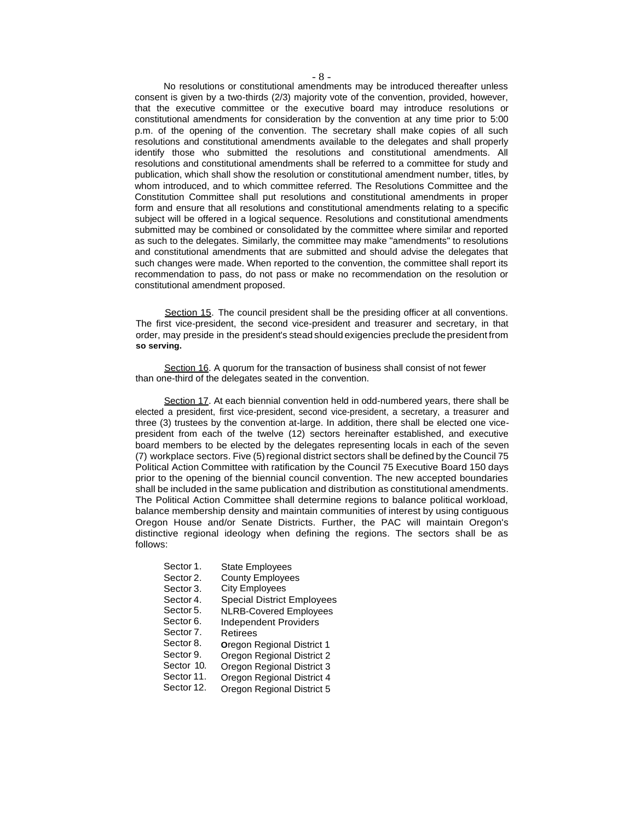No resolutions or constitutional amendments may be introduced thereafter unless consent is given by a two-thirds (2/3) majority vote of the convention, provided, however, that the executive committee or the executive board may introduce resolutions or constitutional amendments for consideration by the convention at any time prior to 5:00 p.m. of the opening of the convention. The secretary shall make copies of all such resolutions and constitutional amendments available to the delegates and shall properly identify those who submitted the resolutions and constitutional amendments. All resolutions and constitutional amendments shall be referred to a committee for study and publication, which shall show the resolution or constitutional amendment number, titles, by whom introduced, and to which committee referred. The Resolutions Committee and the Constitution Committee shall put resolutions and constitutional amendments in proper form and ensure that all resolutions and constitutional amendments relating to a specific subject will be offered in a logical sequence. Resolutions and constitutional amendments submitted may be combined or consolidated by the committee where similar and reported as such to the delegates. Similarly, the committee may make "amendments" to resolutions and constitutional amendments that are submitted and should advise the delegates that such changes were made. When reported to the convention, the committee shall report its recommendation to pass, do not pass or make no recommendation on the resolution or constitutional amendment proposed.

Section 15. The council president shall be the presiding officer at all conventions. The first vice-president, the second vice-president and treasurer and secretary, in that order, may preside in the president's stead should exigencies preclude the president from **so serving.**

Section 16. A quorum for the transaction of business shall consist of not fewer than one-third of the delegates seated in the convention.

Section 17. At each biennial convention held in odd-numbered years, there shall be elected a president, first vice-president, second vice-president, a secretary, a treasurer and three (3) trustees by the convention at-large. In addition, there shall be elected one vicepresident from each of the twelve (12) sectors hereinafter established, and executive board members to be elected by the delegates representing locals in each of the seven (7) workplace sectors. Five (5)regional district sectors shall be defined by the Council 75 Political Action Committee with ratification by the Council 75 Executive Board 150 days prior to the opening of the biennial council convention. The new accepted boundaries shall be included in the same publication and distribution as constitutional amendments. The Political Action Committee shall determine regions to balance political workload, balance membership density and maintain communities of interest by using contiguous Oregon House and/or Senate Districts. Further, the PAC will maintain Oregon's distinctive regional ideology when defining the regions. The sectors shall be as follows:

- Sector 1. State Employees
- Sector 2. County Employees
- Sector 3. City Employees
- Sector 4. Special District Employees
- Sector 5. NLRB-Covered Employees
- Sector 6. Independent Providers
- Sector 7. Retirees
- Sector 8. **O**regon Regional District 1
- Sector 9. Oregon Regional District 2
- Sector 10. Oregon Regional District 3
- Sector 11. Oregon Regional District 4
- Sector 12. Oregon Regional District 5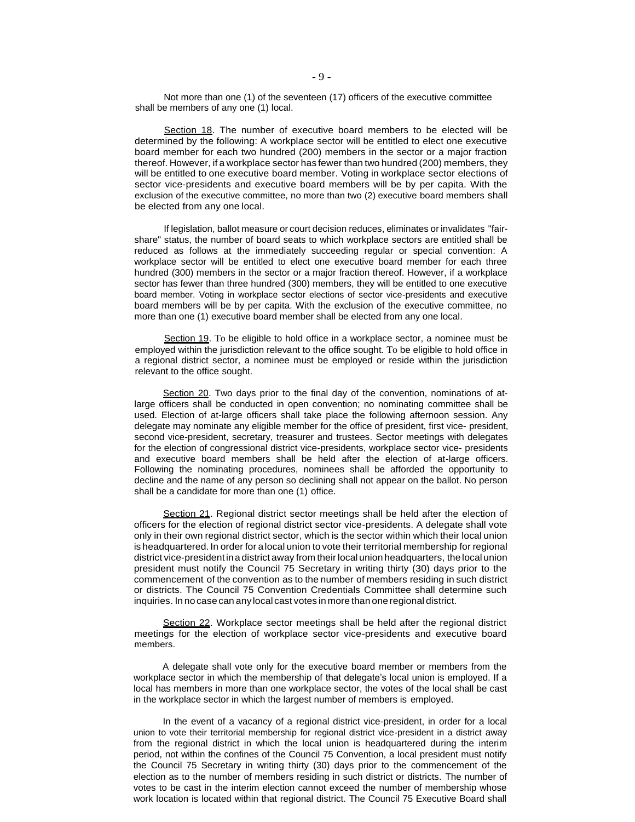Not more than one (1) of the seventeen (17) officers of the executive committee shall be members of any one (1) local.

Section 18. The number of executive board members to be elected will be determined by the following: A workplace sector will be entitled to elect one executive board member for each two hundred (200) members in the sector or a major fraction thereof. However, if a workplace sector has fewer than two hundred (200) members, they will be entitled to one executive board member. Voting in workplace sector elections of sector vice-presidents and executive board members will be by per capita. With the exclusion of the executive committee, no more than two (2) executive board members shall be elected from any one local.

If legislation, ballot measure or court decision reduces, eliminates or invalidates "fairshare" status, the number of board seats to which workplace sectors are entitled shall be reduced as follows at the immediately succeeding regular or special convention: A workplace sector will be entitled to elect one executive board member for each three hundred (300) members in the sector or a major fraction thereof. However, if a workplace sector has fewer than three hundred (300) members, they will be entitled to one executive board member. Voting in workplace sector elections of sector vice-presidents and executive board members will be by per capita. With the exclusion of the executive committee, no more than one (1) executive board member shall be elected from any one local.

Section 19. To be eligible to hold office in a workplace sector, a nominee must be employed within the jurisdiction relevant to the office sought. To be eligible to hold office in a regional district sector, a nominee must be employed or reside within the jurisdiction relevant to the office sought.

Section 20. Two days prior to the final day of the convention, nominations of atlarge officers shall be conducted in open convention; no nominating committee shall be used. Election of at-large officers shall take place the following afternoon session. Any delegate may nominate any eligible member for the office of president, first vice- president, second vice-president, secretary, treasurer and trustees. Sector meetings with delegates for the election of congressional district vice-presidents, workplace sector vice- presidents and executive board members shall be held after the election of at-large officers. Following the nominating procedures, nominees shall be afforded the opportunity to decline and the name of any person so declining shall not appear on the ballot. No person shall be a candidate for more than one (1) office.

Section 21. Regional district sector meetings shall be held after the election of officers for the election of regional district sector vice-presidents. A delegate shall vote only in their own regional district sector, which is the sector within which their local union is headquartered. In order for alocal union to vote their territorial membership for regional district vice-presidentina district away from their local union headquarters, the local union president must notify the Council 75 Secretary in writing thirty (30) days prior to the commencement of the convention as to the number of members residing in such district or districts. The Council 75 Convention Credentials Committee shall determine such inquiries. In no case can any local cast votes in more than one regional district.

Section 22. Workplace sector meetings shall be held after the regional district meetings for the election of workplace sector vice-presidents and executive board members.

A delegate shall vote only for the executive board member or members from the workplace sector in which the membership of that delegate's local union is employed. If a local has members in more than one workplace sector, the votes of the local shall be cast in the workplace sector in which the largest number of members is employed.

In the event of a vacancy of a regional district vice-president, in order for a local union to vote their territorial membership for regional district vice-president in a district away from the regional district in which the local union is headquartered during the interim period, not within the confines of the Council 75 Convention, a local president must notify the Council 75 Secretary in writing thirty (30) days prior to the commencement of the election as to the number of members residing in such district or districts. The number of votes to be cast in the interim election cannot exceed the number of membership whose work location is located within that regional district. The Council 75 Executive Board shall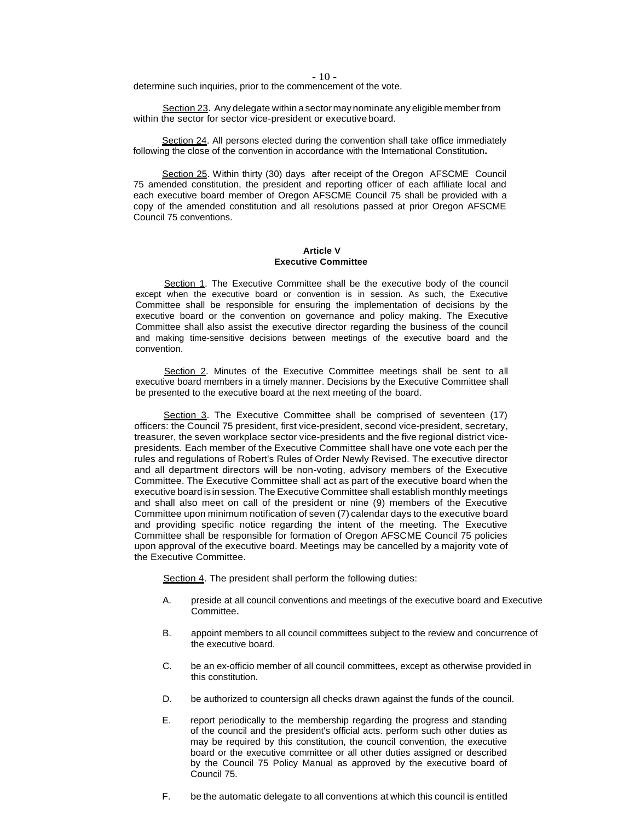- 10 -

determine such inquiries, prior to the commencement of the vote.

Section 23. Any delegate within a sector may nominate any eligible member from within the sector for sector vice-president or executive board.

Section 24. All persons elected during the convention shall take office immediately following the close of the convention in accordance with the International Constitution**.**

Section 25. Within thirty (30) days after receipt of the Oregon AFSCME Council 75 amended constitution, the president and reporting officer of each affiliate local and each executive board member of Oregon AFSCME Council 75 shall be provided with a copy of the amended constitution and all resolutions passed at prior Oregon AFSCME Council 75 conventions.

#### **Article V Executive Committee**

Section 1. The Executive Committee shall be the executive body of the council except when the executive board or convention is in session. As such, the Executive Committee shall be responsible for ensuring the implementation of decisions by the executive board or the convention on governance and policy making. The Executive Committee shall also assist the executive director regarding the business of the council and making time-sensitive decisions between meetings of the executive board and the convention.

Section 2. Minutes of the Executive Committee meetings shall be sent to all executive board members in a timely manner. Decisions by the Executive Committee shall be presented to the executive board at the next meeting of the board.

Section 3. The Executive Committee shall be comprised of seventeen (17) officers: the Council 75 president, first vice-president, second vice-president, secretary, treasurer, the seven workplace sector vice-presidents and the five regional district vicepresidents. Each member of the Executive Committee shall have one vote each per the rules and regulations of Robert's Rules of Order Newly Revised. The executive director and all department directors will be non-voting, advisory members of the Executive Committee. The Executive Committee shall act as part of the executive board when the executive board isin session. The Executive Committee shall establish monthly meetings and shall also meet on call of the president or nine (9) members of the Executive Committee upon minimum notification of seven (7) calendar days to the executive board and providing specific notice regarding the intent of the meeting. The Executive Committee shall be responsible for formation of Oregon AFSCME Council 75 policies upon approval of the executive board. Meetings may be cancelled by a majority vote of the Executive Committee.

Section 4. The president shall perform the following duties:

- A. preside at all council conventions and meetings of the executive board and Executive Committee.
- B. appoint members to all council committees subject to the review and concurrence of the executive board.
- C. be an ex-officio member of all council committees, except as otherwise provided in this constitution.
- D. be authorized to countersign all checks drawn against the funds of the council.
- E. report periodically to the membership regarding the progress and standing of the council and the president's official acts. perform such other duties as may be required by this constitution, the council convention, the executive board or the executive committee or all other duties assigned or described by the Council 75 Policy Manual as approved by the executive board of Council 75.
- F. be the automatic delegate to all conventions at which this council is entitled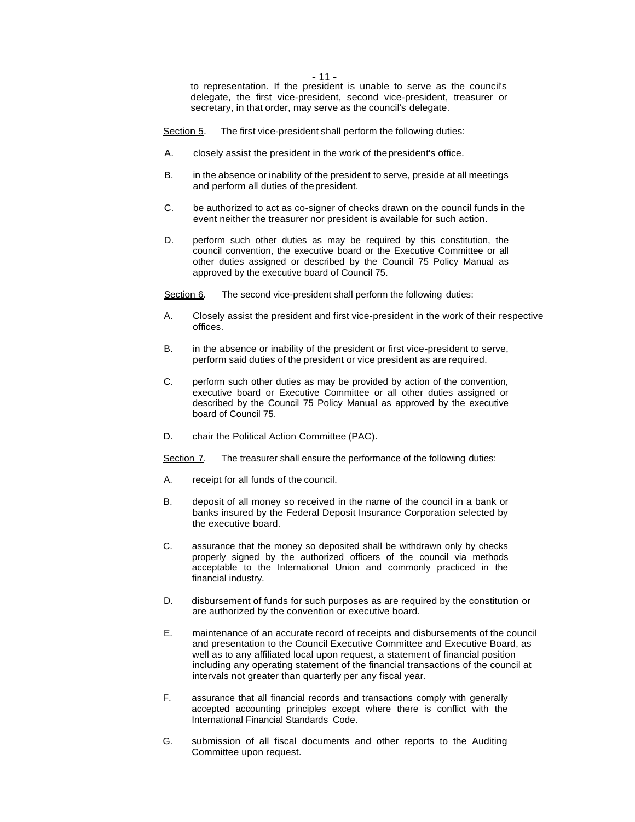- 11 -

to representation. If the president is unable to serve as the council's delegate, the first vice-president, second vice-president, treasurer or secretary, in that order, may serve as the council's delegate.

Section 5. The first vice-president shall perform the following duties:

- A. closely assist the president in the work of thepresident's office.
- B. in the absence or inability of the president to serve, preside at all meetings and perform all duties of thepresident.
- C. be authorized to act as co-signer of checks drawn on the council funds in the event neither the treasurer nor president is available for such action.
- D. perform such other duties as may be required by this constitution, the council convention, the executive board or the Executive Committee or all other duties assigned or described by the Council 75 Policy Manual as approved by the executive board of Council 75.

Section 6. The second vice-president shall perform the following duties:

- A. Closely assist the president and first vice-president in the work of their respective offices.
- B. in the absence or inability of the president or first vice-president to serve, perform said duties of the president or vice president as are required.
- C. perform such other duties as may be provided by action of the convention, executive board or Executive Committee or all other duties assigned or described by the Council 75 Policy Manual as approved by the executive board of Council 75.
- D. chair the Political Action Committee (PAC).

Section 7. The treasurer shall ensure the performance of the following duties:

- A. receipt for all funds of the council.
- B. deposit of all money so received in the name of the council in a bank or banks insured by the Federal Deposit Insurance Corporation selected by the executive board.
- C. assurance that the money so deposited shall be withdrawn only by checks properly signed by the authorized officers of the council via methods acceptable to the International Union and commonly practiced in the financial industry.
- D. disbursement of funds for such purposes as are required by the constitution or are authorized by the convention or executive board.
- E. maintenance of an accurate record of receipts and disbursements of the council and presentation to the Council Executive Committee and Executive Board, as well as to any affiliated local upon request, a statement of financial position including any operating statement of the financial transactions of the council at intervals not greater than quarterly per any fiscal year.
- F. assurance that all financial records and transactions comply with generally accepted accounting principles except where there is conflict with the International Financial Standards Code.
- G. submission of all fiscal documents and other reports to the Auditing Committee upon request.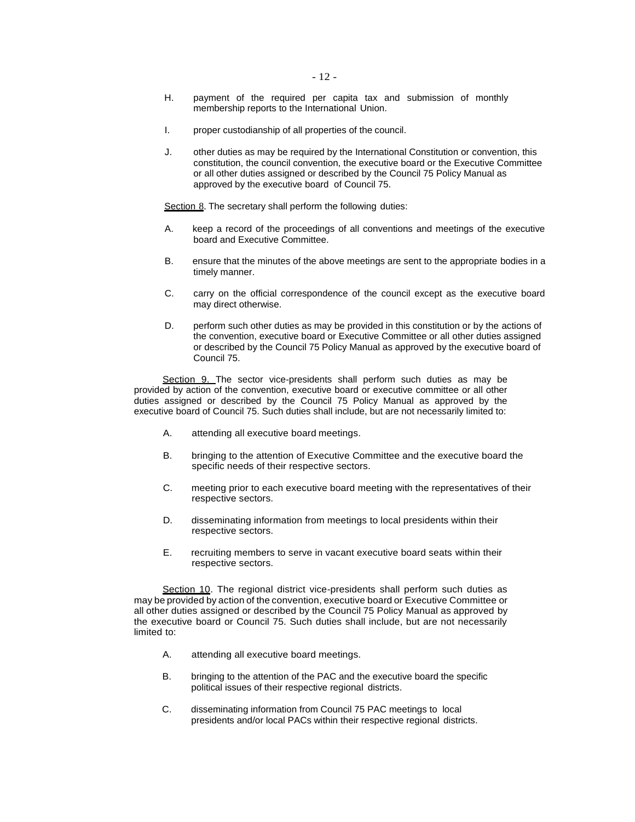- H. payment of the required per capita tax and submission of monthly membership reports to the International Union.
- I. proper custodianship of all properties of the council.
- J. other duties as may be required by the International Constitution or convention, this constitution, the council convention, the executive board or the Executive Committee or all other duties assigned or described by the Council 75 Policy Manual as approved by the executive board of Council 75.

Section 8. The secretary shall perform the following duties:

- A. keep a record of the proceedings of all conventions and meetings of the executive board and Executive Committee.
- B. ensure that the minutes of the above meetings are sent to the appropriate bodies in a timely manner.
- C. carry on the official correspondence of the council except as the executive board may direct otherwise.
- D. perform such other duties as may be provided in this constitution or by the actions of the convention, executive board or Executive Committee or all other duties assigned or described by the Council 75 Policy Manual as approved by the executive board of Council 75.

Section 9. The sector vice-presidents shall perform such duties as may be provided by action of the convention, executive board or executive committee or all other duties assigned or described by the Council 75 Policy Manual as approved by the executive board of Council 75. Such duties shall include, but are not necessarily limited to:

- A. attending all executive board meetings.
- B. bringing to the attention of Executive Committee and the executive board the specific needs of their respective sectors.
- C. meeting prior to each executive board meeting with the representatives of their respective sectors.
- D. disseminating information from meetings to local presidents within their respective sectors.
- E. recruiting members to serve in vacant executive board seats within their respective sectors.

Section 10. The regional district vice-presidents shall perform such duties as may be provided by action of the convention, executive board or Executive Committee or all other duties assigned or described by the Council 75 Policy Manual as approved by the executive board or Council 75. Such duties shall include, but are not necessarily limited to:

- A. attending all executive board meetings.
- B. bringing to the attention of the PAC and the executive board the specific political issues of their respective regional districts.
- C. disseminating information from Council 75 PAC meetings to local presidents and/or local PACs within their respective regional districts.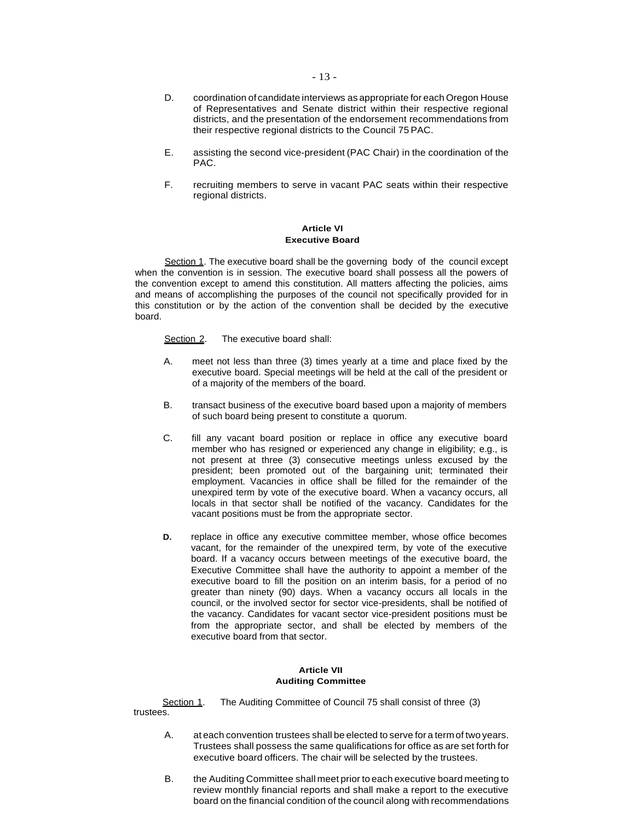- D. coordination ofcandidate interviews as appropriate for each Oregon House of Representatives and Senate district within their respective regional districts, and the presentation of the endorsement recommendations from their respective regional districts to the Council 75 PAC.
- E. assisting the second vice-president (PAC Chair) in the coordination of the PAC.
- F. recruiting members to serve in vacant PAC seats within their respective regional districts.

## **Article VI Executive Board**

Section 1. The executive board shall be the governing body of the council except when the convention is in session. The executive board shall possess all the powers of the convention except to amend this constitution. All matters affecting the policies, aims and means of accomplishing the purposes of the council not specifically provided for in this constitution or by the action of the convention shall be decided by the executive board.

Section 2. The executive board shall:

- A. meet not less than three (3) times yearly at a time and place fixed by the executive board. Special meetings will be held at the call of the president or of a majority of the members of the board.
- B. transact business of the executive board based upon a majority of members of such board being present to constitute a quorum.
- C. fill any vacant board position or replace in office any executive board member who has resigned or experienced any change in eligibility; e.g., is not present at three (3) consecutive meetings unless excused by the president; been promoted out of the bargaining unit; terminated their employment. Vacancies in office shall be filled for the remainder of the unexpired term by vote of the executive board. When a vacancy occurs, all locals in that sector shall be notified of the vacancy. Candidates for the vacant positions must be from the appropriate sector.
- **D.** replace in office any executive committee member, whose office becomes vacant, for the remainder of the unexpired term, by vote of the executive board. If a vacancy occurs between meetings of the executive board, the Executive Committee shall have the authority to appoint a member of the executive board to fill the position on an interim basis, for a period of no greater than ninety (90) days. When a vacancy occurs all locals in the council, or the involved sector for sector vice-presidents, shall be notified of the vacancy. Candidates for vacant sector vice-president positions must be from the appropriate sector, and shall be elected by members of the executive board from that sector.

## **Article VII Auditing Committee**

Section 1. The Auditing Committee of Council 75 shall consist of three (3) trustees.

- A. at each convention trustees shall be elected to serve for a term of two years. Trustees shall possess the same qualifications for office as are set forth for executive board officers. The chair will be selected by the trustees.
- B. the Auditing Committee shall meet prior to each executive board meeting to review monthly financial reports and shall make a report to the executive board on the financial condition of the council along with recommendations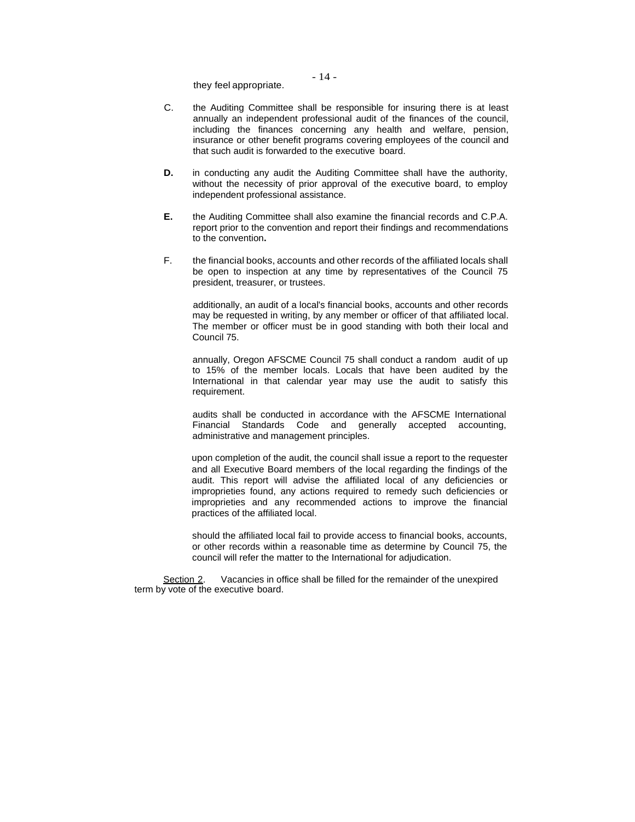they feel appropriate.

- C. the Auditing Committee shall be responsible for insuring there is at least annually an independent professional audit of the finances of the council, including the finances concerning any health and welfare, pension, insurance or other benefit programs covering employees of the council and that such audit is forwarded to the executive board.
- **D.** in conducting any audit the Auditing Committee shall have the authority, without the necessity of prior approval of the executive board, to employ independent professional assistance.
- **E.** the Auditing Committee shall also examine the financial records and C.P.A. report prior to the convention and report their findings and recommendations to the convention**.**
- F. the financial books, accounts and other records of the affiliated locals shall be open to inspection at any time by representatives of the Council 75 president, treasurer, or trustees.

additionally, an audit of a local's financial books, accounts and other records may be requested in writing, by any member or officer of that affiliated local. The member or officer must be in good standing with both their local and Council 75.

annually, Oregon AFSCME Council 75 shall conduct a random audit of up to 15% of the member locals. Locals that have been audited by the International in that calendar year may use the audit to satisfy this requirement.

audits shall be conducted in accordance with the AFSCME International Financial Standards Code and generally accepted accounting, administrative and management principles.

upon completion of the audit, the council shall issue a report to the requester and all Executive Board members of the local regarding the findings of the audit. This report will advise the affiliated local of any deficiencies or improprieties found, any actions required to remedy such deficiencies or improprieties and any recommended actions to improve the financial practices of the affiliated local.

should the affiliated local fail to provide access to financial books, accounts, or other records within a reasonable time as determine by Council 75, the council will refer the matter to the International for adjudication.

Section 2. Vacancies in office shall be filled for the remainder of the unexpired term by vote of the executive board.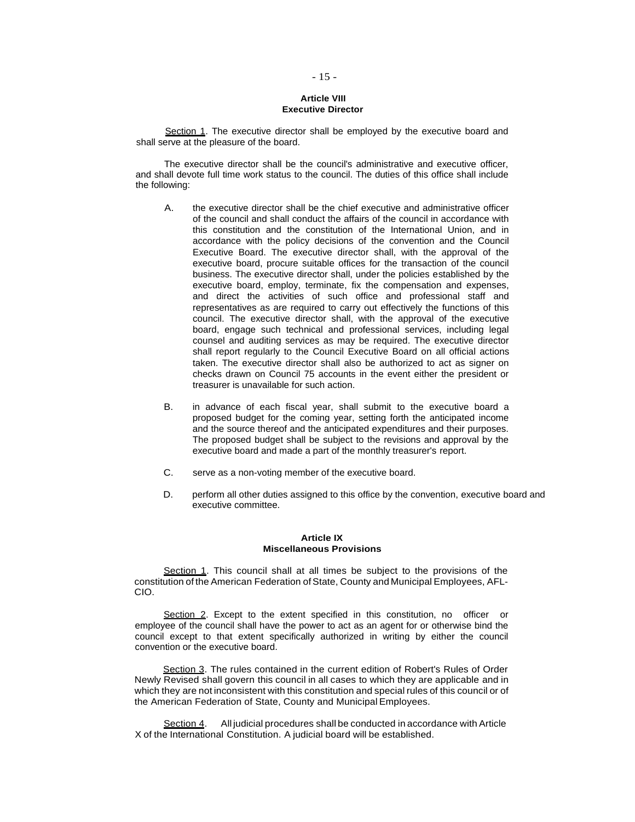## **Article VIII Executive Director**

Section 1. The executive director shall be employed by the executive board and shall serve at the pleasure of the board.

The executive director shall be the council's administrative and executive officer, and shall devote full time work status to the council. The duties of this office shall include the following:

- A. the executive director shall be the chief executive and administrative officer of the council and shall conduct the affairs of the council in accordance with this constitution and the constitution of the International Union, and in accordance with the policy decisions of the convention and the Council Executive Board. The executive director shall, with the approval of the executive board, procure suitable offices for the transaction of the council business. The executive director shall, under the policies established by the executive board, employ, terminate, fix the compensation and expenses, and direct the activities of such office and professional staff and representatives as are required to carry out effectively the functions of this council. The executive director shall, with the approval of the executive board, engage such technical and professional services, including legal counsel and auditing services as may be required. The executive director shall report regularly to the Council Executive Board on all official actions taken. The executive director shall also be authorized to act as signer on checks drawn on Council 75 accounts in the event either the president or treasurer is unavailable for such action.
- B. in advance of each fiscal year, shall submit to the executive board a proposed budget for the coming year, setting forth the anticipated income and the source thereof and the anticipated expenditures and their purposes. The proposed budget shall be subject to the revisions and approval by the executive board and made a part of the monthly treasurer's report.
- C. serve as a non-voting member of the executive board.
- D. perform all other duties assigned to this office by the convention, executive board and executive committee.

### **Article IX Miscellaneous Provisions**

Section 1. This council shall at all times be subject to the provisions of the constitution of the American Federation of State, County and Municipal Employees, AFL-CIO.

Section 2. Except to the extent specified in this constitution, no officer or employee of the council shall have the power to act as an agent for or otherwise bind the council except to that extent specifically authorized in writing by either the council convention or the executive board.

Section 3. The rules contained in the current edition of Robert's Rules of Order Newly Revised shall govern this council in all cases to which they are applicable and in which they are not inconsistent with this constitution and special rules of this council or of the American Federation of State, County and Municipal Employees.

Section 4. All judicial procedures shall be conducted in accordance with Article X of the International Constitution. A judicial board will be established.

## - 15 -